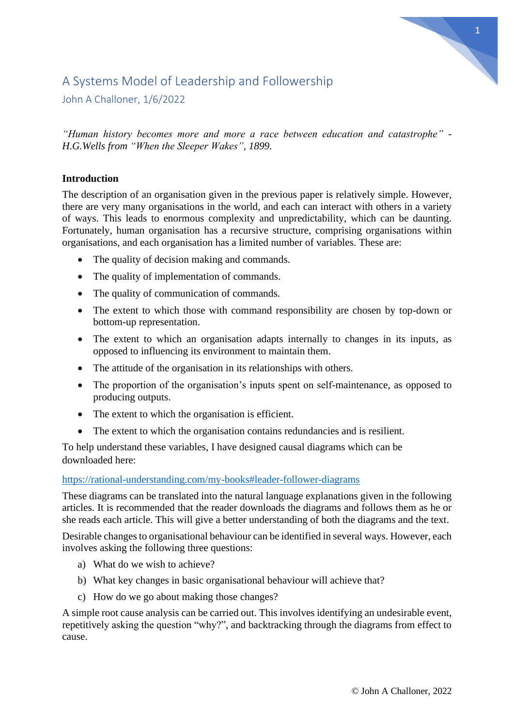# 1

# A Systems Model of Leadership and Followership

John A Challoner, 1/6/2022

*"Human history becomes more and more a race between education and catastrophe" - H.G.Wells from "When the Sleeper Wakes", 1899.*

## **Introduction**

The description of an organisation given in the previous paper is relatively simple. However, there are very many organisations in the world, and each can interact with others in a variety of ways. This leads to enormous complexity and unpredictability, which can be daunting. Fortunately, human organisation has a recursive structure, comprising organisations within organisations, and each organisation has a limited number of variables. These are:

- The quality of decision making and commands.
- The quality of implementation of commands.
- The quality of communication of commands.
- The extent to which those with command responsibility are chosen by top-down or bottom-up representation.
- The extent to which an organisation adapts internally to changes in its inputs, as opposed to influencing its environment to maintain them.
- The attitude of the organisation in its relationships with others.
- The proportion of the organisation's inputs spent on self-maintenance, as opposed to producing outputs.
- The extent to which the organisation is efficient.
- The extent to which the organisation contains redundancies and is resilient.

To help understand these variables, I have designed causal diagrams which can be downloaded here:

### <https://rational-understanding.com/my-books#leader-follower-diagrams>

These diagrams can be translated into the natural language explanations given in the following articles. It is recommended that the reader downloads the diagrams and follows them as he or she reads each article. This will give a better understanding of both the diagrams and the text.

Desirable changes to organisational behaviour can be identified in several ways. However, each involves asking the following three questions:

- a) What do we wish to achieve?
- b) What key changes in basic organisational behaviour will achieve that?
- c) How do we go about making those changes?

A simple root cause analysis can be carried out. This involves identifying an undesirable event, repetitively asking the question "why?", and backtracking through the diagrams from effect to cause.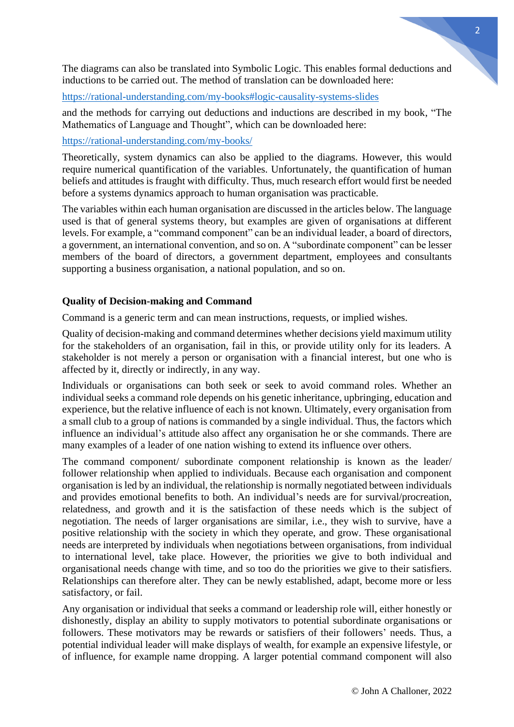The diagrams can also be translated into Symbolic Logic. This enables formal deductions and inductions to be carried out. The method of translation can be downloaded here:

<https://rational-understanding.com/my-books#logic-causality-systems-slides>

and the methods for carrying out deductions and inductions are described in my book, "The Mathematics of Language and Thought", which can be downloaded here:

<https://rational-understanding.com/my-books/>

Theoretically, system dynamics can also be applied to the diagrams. However, this would require numerical quantification of the variables. Unfortunately, the quantification of human beliefs and attitudes is fraught with difficulty. Thus, much research effort would first be needed before a systems dynamics approach to human organisation was practicable.

The variables within each human organisation are discussed in the articles below. The language used is that of general systems theory, but examples are given of organisations at different levels. For example, a "command component" can be an individual leader, a board of directors, a government, an international convention, and so on. A "subordinate component" can be lesser members of the board of directors, a government department, employees and consultants supporting a business organisation, a national population, and so on.

#### **Quality of Decision-making and Command**

Command is a generic term and can mean instructions, requests, or implied wishes.

Quality of decision-making and command determines whether decisions yield maximum utility for the stakeholders of an organisation, fail in this, or provide utility only for its leaders. A stakeholder is not merely a person or organisation with a financial interest, but one who is affected by it, directly or indirectly, in any way.

Individuals or organisations can both seek or seek to avoid command roles. Whether an individual seeks a command role depends on his genetic inheritance, upbringing, education and experience, but the relative influence of each is not known. Ultimately, every organisation from a small club to a group of nations is commanded by a single individual. Thus, the factors which influence an individual's attitude also affect any organisation he or she commands. There are many examples of a leader of one nation wishing to extend its influence over others.

The command component/ subordinate component relationship is known as the leader/ follower relationship when applied to individuals. Because each organisation and component organisation is led by an individual, the relationship is normally negotiated between individuals and provides emotional benefits to both. An individual's needs are for survival/procreation, relatedness, and growth and it is the satisfaction of these needs which is the subject of negotiation. The needs of larger organisations are similar, i.e., they wish to survive, have a positive relationship with the society in which they operate, and grow. These organisational needs are interpreted by individuals when negotiations between organisations, from individual to international level, take place. However, the priorities we give to both individual and organisational needs change with time, and so too do the priorities we give to their satisfiers. Relationships can therefore alter. They can be newly established, adapt, become more or less satisfactory, or fail.

Any organisation or individual that seeks a command or leadership role will, either honestly or dishonestly, display an ability to supply motivators to potential subordinate organisations or followers. These motivators may be rewards or satisfiers of their followers' needs. Thus, a potential individual leader will make displays of wealth, for example an expensive lifestyle, or of influence, for example name dropping. A larger potential command component will also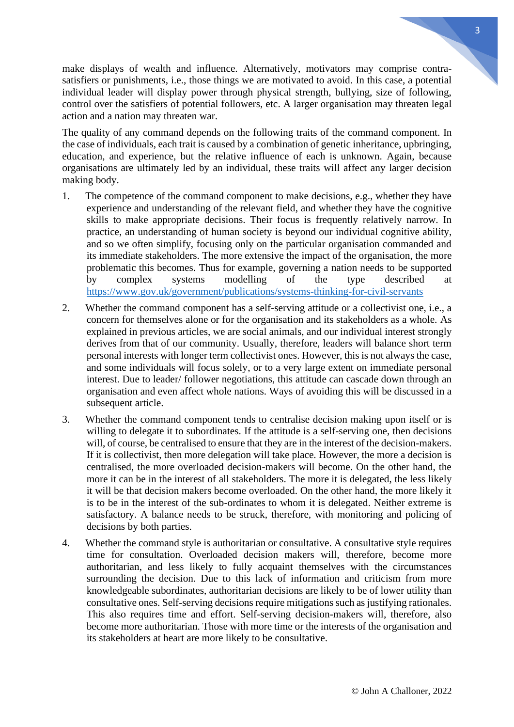make displays of wealth and influence. Alternatively, motivators may comprise contrasatisfiers or punishments, i.e., those things we are motivated to avoid. In this case, a potential individual leader will display power through physical strength, bullying, size of following, control over the satisfiers of potential followers, etc. A larger organisation may threaten legal action and a nation may threaten war.

The quality of any command depends on the following traits of the command component. In the case of individuals, each trait is caused by a combination of genetic inheritance, upbringing, education, and experience, but the relative influence of each is unknown. Again, because organisations are ultimately led by an individual, these traits will affect any larger decision making body.

- 1. The competence of the command component to make decisions, e.g., whether they have experience and understanding of the relevant field, and whether they have the cognitive skills to make appropriate decisions. Their focus is frequently relatively narrow. In practice, an understanding of human society is beyond our individual cognitive ability, and so we often simplify, focusing only on the particular organisation commanded and its immediate stakeholders. The more extensive the impact of the organisation, the more problematic this becomes. Thus for example, governing a nation needs to be supported by complex systems modelling of the type described at <https://www.gov.uk/government/publications/systems-thinking-for-civil-servants>
- 2. Whether the command component has a self-serving attitude or a collectivist one, i.e., a concern for themselves alone or for the organisation and its stakeholders as a whole. As explained in previous articles, we are social animals, and our individual interest strongly derives from that of our community. Usually, therefore, leaders will balance short term personal interests with longer term collectivist ones. However, this is not always the case, and some individuals will focus solely, or to a very large extent on immediate personal interest. Due to leader/ follower negotiations, this attitude can cascade down through an organisation and even affect whole nations. Ways of avoiding this will be discussed in a subsequent article.
- 3. Whether the command component tends to centralise decision making upon itself or is willing to delegate it to subordinates. If the attitude is a self-serving one, then decisions will, of course, be centralised to ensure that they are in the interest of the decision-makers. If it is collectivist, then more delegation will take place. However, the more a decision is centralised, the more overloaded decision-makers will become. On the other hand, the more it can be in the interest of all stakeholders. The more it is delegated, the less likely it will be that decision makers become overloaded. On the other hand, the more likely it is to be in the interest of the sub-ordinates to whom it is delegated. Neither extreme is satisfactory. A balance needs to be struck, therefore, with monitoring and policing of decisions by both parties.
- 4. Whether the command style is authoritarian or consultative. A consultative style requires time for consultation. Overloaded decision makers will, therefore, become more authoritarian, and less likely to fully acquaint themselves with the circumstances surrounding the decision. Due to this lack of information and criticism from more knowledgeable subordinates, authoritarian decisions are likely to be of lower utility than consultative ones. Self-serving decisions require mitigations such as justifying rationales. This also requires time and effort. Self-serving decision-makers will, therefore, also become more authoritarian. Those with more time or the interests of the organisation and its stakeholders at heart are more likely to be consultative.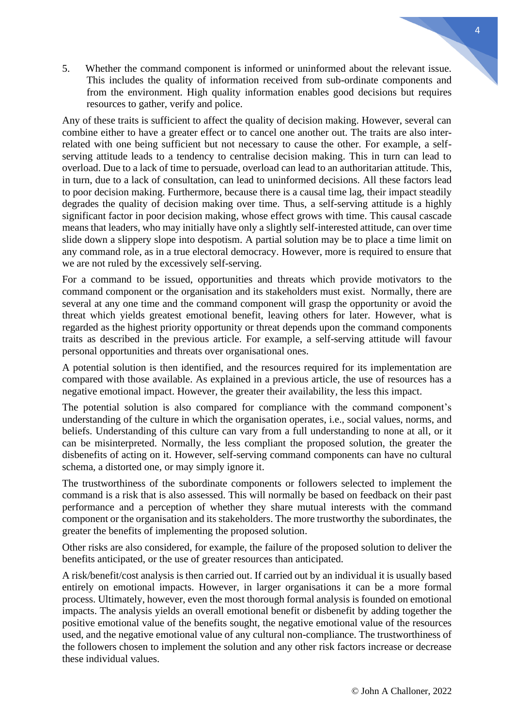5. Whether the command component is informed or uninformed about the relevant issue. This includes the quality of information received from sub-ordinate components and from the environment. High quality information enables good decisions but requires resources to gather, verify and police.

Any of these traits is sufficient to affect the quality of decision making. However, several can combine either to have a greater effect or to cancel one another out. The traits are also interrelated with one being sufficient but not necessary to cause the other. For example, a selfserving attitude leads to a tendency to centralise decision making. This in turn can lead to overload. Due to a lack of time to persuade, overload can lead to an authoritarian attitude. This, in turn, due to a lack of consultation, can lead to uninformed decisions. All these factors lead to poor decision making. Furthermore, because there is a causal time lag, their impact steadily degrades the quality of decision making over time. Thus, a self-serving attitude is a highly significant factor in poor decision making, whose effect grows with time. This causal cascade means that leaders, who may initially have only a slightly self-interested attitude, can over time slide down a slippery slope into despotism. A partial solution may be to place a time limit on any command role, as in a true electoral democracy. However, more is required to ensure that we are not ruled by the excessively self-serving.

For a command to be issued, opportunities and threats which provide motivators to the command component or the organisation and its stakeholders must exist. Normally, there are several at any one time and the command component will grasp the opportunity or avoid the threat which yields greatest emotional benefit, leaving others for later. However, what is regarded as the highest priority opportunity or threat depends upon the command components traits as described in the previous article. For example, a self-serving attitude will favour personal opportunities and threats over organisational ones.

A potential solution is then identified, and the resources required for its implementation are compared with those available. As explained in a previous article, the use of resources has a negative emotional impact. However, the greater their availability, the less this impact.

The potential solution is also compared for compliance with the command component's understanding of the culture in which the organisation operates, i.e., social values, norms, and beliefs. Understanding of this culture can vary from a full understanding to none at all, or it can be misinterpreted. Normally, the less compliant the proposed solution, the greater the disbenefits of acting on it. However, self-serving command components can have no cultural schema, a distorted one, or may simply ignore it.

The trustworthiness of the subordinate components or followers selected to implement the command is a risk that is also assessed. This will normally be based on feedback on their past performance and a perception of whether they share mutual interests with the command component or the organisation and its stakeholders. The more trustworthy the subordinates, the greater the benefits of implementing the proposed solution.

Other risks are also considered, for example, the failure of the proposed solution to deliver the benefits anticipated, or the use of greater resources than anticipated.

A risk/benefit/cost analysis is then carried out. If carried out by an individual it is usually based entirely on emotional impacts. However, in larger organisations it can be a more formal process. Ultimately, however, even the most thorough formal analysis is founded on emotional impacts. The analysis yields an overall emotional benefit or disbenefit by adding together the positive emotional value of the benefits sought, the negative emotional value of the resources used, and the negative emotional value of any cultural non-compliance. The trustworthiness of the followers chosen to implement the solution and any other risk factors increase or decrease these individual values.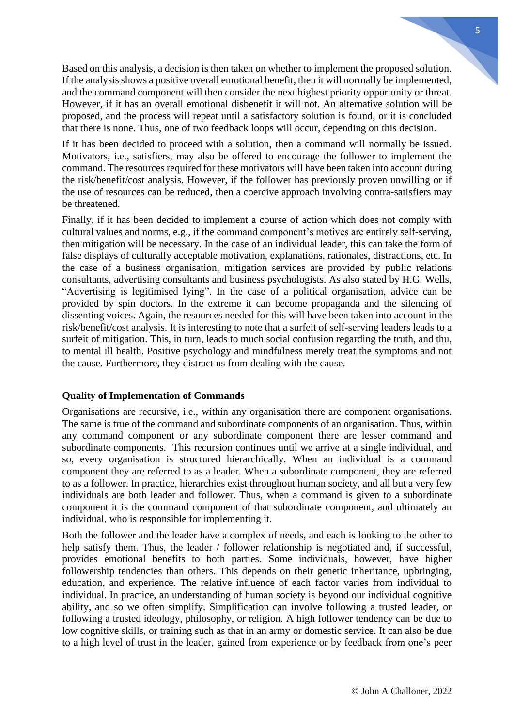Based on this analysis, a decision is then taken on whether to implement the proposed solution. If the analysis shows a positive overall emotional benefit, then it will normally be implemented, and the command component will then consider the next highest priority opportunity or threat. However, if it has an overall emotional disbenefit it will not. An alternative solution will be proposed, and the process will repeat until a satisfactory solution is found, or it is concluded that there is none. Thus, one of two feedback loops will occur, depending on this decision.

If it has been decided to proceed with a solution, then a command will normally be issued. Motivators, i.e., satisfiers, may also be offered to encourage the follower to implement the command. The resources required for these motivators will have been taken into account during the risk/benefit/cost analysis. However, if the follower has previously proven unwilling or if the use of resources can be reduced, then a coercive approach involving contra-satisfiers may be threatened.

Finally, if it has been decided to implement a course of action which does not comply with cultural values and norms, e.g., if the command component's motives are entirely self-serving, then mitigation will be necessary. In the case of an individual leader, this can take the form of false displays of culturally acceptable motivation, explanations, rationales, distractions, etc. In the case of a business organisation, mitigation services are provided by public relations consultants, advertising consultants and business psychologists. As also stated by H.G. Wells, "Advertising is legitimised lying". In the case of a political organisation, advice can be provided by spin doctors. In the extreme it can become propaganda and the silencing of dissenting voices. Again, the resources needed for this will have been taken into account in the risk/benefit/cost analysis. It is interesting to note that a surfeit of self-serving leaders leads to a surfeit of mitigation. This, in turn, leads to much social confusion regarding the truth, and thu, to mental ill health. Positive psychology and mindfulness merely treat the symptoms and not the cause. Furthermore, they distract us from dealing with the cause.

### **Quality of Implementation of Commands**

Organisations are recursive, i.e., within any organisation there are component organisations. The same is true of the command and subordinate components of an organisation. Thus, within any command component or any subordinate component there are lesser command and subordinate components. This recursion continues until we arrive at a single individual, and so, every organisation is structured hierarchically. When an individual is a command component they are referred to as a leader. When a subordinate component, they are referred to as a follower. In practice, hierarchies exist throughout human society, and all but a very few individuals are both leader and follower. Thus, when a command is given to a subordinate component it is the command component of that subordinate component, and ultimately an individual, who is responsible for implementing it.

Both the follower and the leader have a complex of needs, and each is looking to the other to help satisfy them. Thus, the leader / follower relationship is negotiated and, if successful, provides emotional benefits to both parties. Some individuals, however, have higher followership tendencies than others. This depends on their genetic inheritance, upbringing, education, and experience. The relative influence of each factor varies from individual to individual. In practice, an understanding of human society is beyond our individual cognitive ability, and so we often simplify. Simplification can involve following a trusted leader, or following a trusted ideology, philosophy, or religion. A high follower tendency can be due to low cognitive skills, or training such as that in an army or domestic service. It can also be due to a high level of trust in the leader, gained from experience or by feedback from one's peer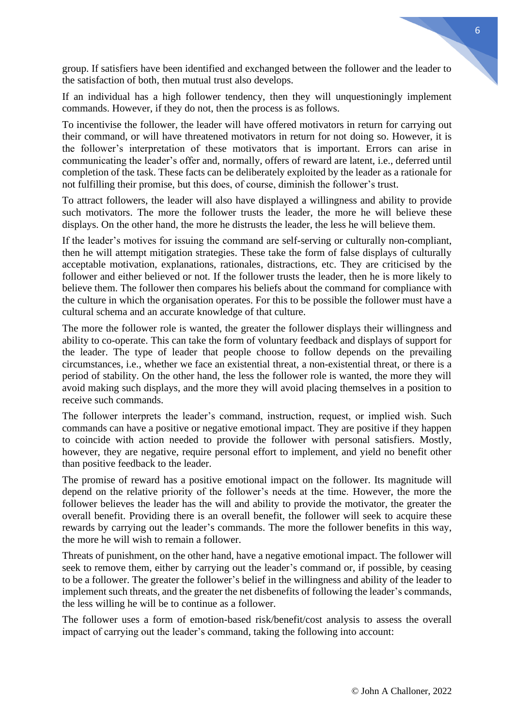group. If satisfiers have been identified and exchanged between the follower and the leader to the satisfaction of both, then mutual trust also develops.

If an individual has a high follower tendency, then they will unquestioningly implement commands. However, if they do not, then the process is as follows.

To incentivise the follower, the leader will have offered motivators in return for carrying out their command, or will have threatened motivators in return for not doing so. However, it is the follower's interpretation of these motivators that is important. Errors can arise in communicating the leader's offer and, normally, offers of reward are latent, i.e., deferred until completion of the task. These facts can be deliberately exploited by the leader as a rationale for not fulfilling their promise, but this does, of course, diminish the follower's trust.

To attract followers, the leader will also have displayed a willingness and ability to provide such motivators. The more the follower trusts the leader, the more he will believe these displays. On the other hand, the more he distrusts the leader, the less he will believe them.

If the leader's motives for issuing the command are self-serving or culturally non-compliant, then he will attempt mitigation strategies. These take the form of false displays of culturally acceptable motivation, explanations, rationales, distractions, etc. They are criticised by the follower and either believed or not. If the follower trusts the leader, then he is more likely to believe them. The follower then compares his beliefs about the command for compliance with the culture in which the organisation operates. For this to be possible the follower must have a cultural schema and an accurate knowledge of that culture.

The more the follower role is wanted, the greater the follower displays their willingness and ability to co-operate. This can take the form of voluntary feedback and displays of support for the leader. The type of leader that people choose to follow depends on the prevailing circumstances, i.e., whether we face an existential threat, a non-existential threat, or there is a period of stability. On the other hand, the less the follower role is wanted, the more they will avoid making such displays, and the more they will avoid placing themselves in a position to receive such commands.

The follower interprets the leader's command, instruction, request, or implied wish. Such commands can have a positive or negative emotional impact. They are positive if they happen to coincide with action needed to provide the follower with personal satisfiers. Mostly, however, they are negative, require personal effort to implement, and yield no benefit other than positive feedback to the leader.

The promise of reward has a positive emotional impact on the follower. Its magnitude will depend on the relative priority of the follower's needs at the time. However, the more the follower believes the leader has the will and ability to provide the motivator, the greater the overall benefit. Providing there is an overall benefit, the follower will seek to acquire these rewards by carrying out the leader's commands. The more the follower benefits in this way, the more he will wish to remain a follower.

Threats of punishment, on the other hand, have a negative emotional impact. The follower will seek to remove them, either by carrying out the leader's command or, if possible, by ceasing to be a follower. The greater the follower's belief in the willingness and ability of the leader to implement such threats, and the greater the net disbenefits of following the leader's commands, the less willing he will be to continue as a follower.

The follower uses a form of emotion-based risk/benefit/cost analysis to assess the overall impact of carrying out the leader's command, taking the following into account: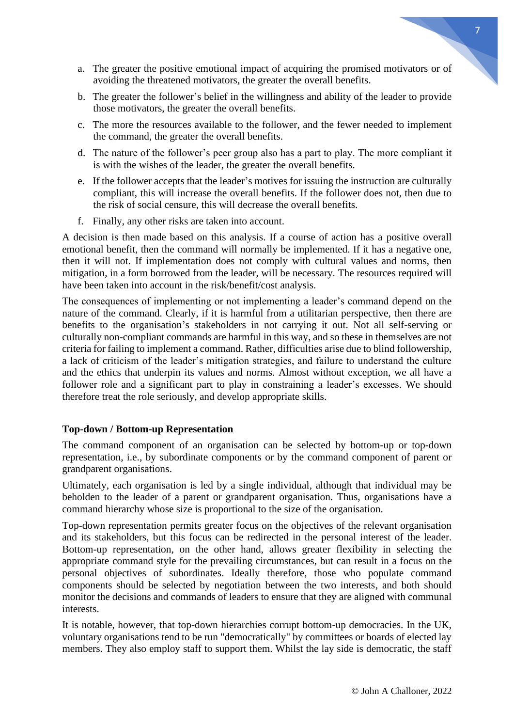- a. The greater the positive emotional impact of acquiring the promised motivators or of avoiding the threatened motivators, the greater the overall benefits.
- b. The greater the follower's belief in the willingness and ability of the leader to provide those motivators, the greater the overall benefits.
- c. The more the resources available to the follower, and the fewer needed to implement the command, the greater the overall benefits.
- d. The nature of the follower's peer group also has a part to play. The more compliant it is with the wishes of the leader, the greater the overall benefits.
- e. If the follower accepts that the leader's motives for issuing the instruction are culturally compliant, this will increase the overall benefits. If the follower does not, then due to the risk of social censure, this will decrease the overall benefits.
- f. Finally, any other risks are taken into account.

A decision is then made based on this analysis. If a course of action has a positive overall emotional benefit, then the command will normally be implemented. If it has a negative one, then it will not. If implementation does not comply with cultural values and norms, then mitigation, in a form borrowed from the leader, will be necessary. The resources required will have been taken into account in the risk/benefit/cost analysis.

The consequences of implementing or not implementing a leader's command depend on the nature of the command. Clearly, if it is harmful from a utilitarian perspective, then there are benefits to the organisation's stakeholders in not carrying it out. Not all self-serving or culturally non-compliant commands are harmful in this way, and so these in themselves are not criteria for failing to implement a command. Rather, difficulties arise due to blind followership, a lack of criticism of the leader's mitigation strategies, and failure to understand the culture and the ethics that underpin its values and norms. Almost without exception, we all have a follower role and a significant part to play in constraining a leader's excesses. We should therefore treat the role seriously, and develop appropriate skills.

#### **Top-down / Bottom-up Representation**

The command component of an organisation can be selected by bottom-up or top-down representation, i.e., by subordinate components or by the command component of parent or grandparent organisations.

Ultimately, each organisation is led by a single individual, although that individual may be beholden to the leader of a parent or grandparent organisation. Thus, organisations have a command hierarchy whose size is proportional to the size of the organisation.

Top-down representation permits greater focus on the objectives of the relevant organisation and its stakeholders, but this focus can be redirected in the personal interest of the leader. Bottom-up representation, on the other hand, allows greater flexibility in selecting the appropriate command style for the prevailing circumstances, but can result in a focus on the personal objectives of subordinates. Ideally therefore, those who populate command components should be selected by negotiation between the two interests, and both should monitor the decisions and commands of leaders to ensure that they are aligned with communal interests.

It is notable, however, that top-down hierarchies corrupt bottom-up democracies. In the UK, voluntary organisations tend to be run "democratically" by committees or boards of elected lay members. They also employ staff to support them. Whilst the lay side is democratic, the staff